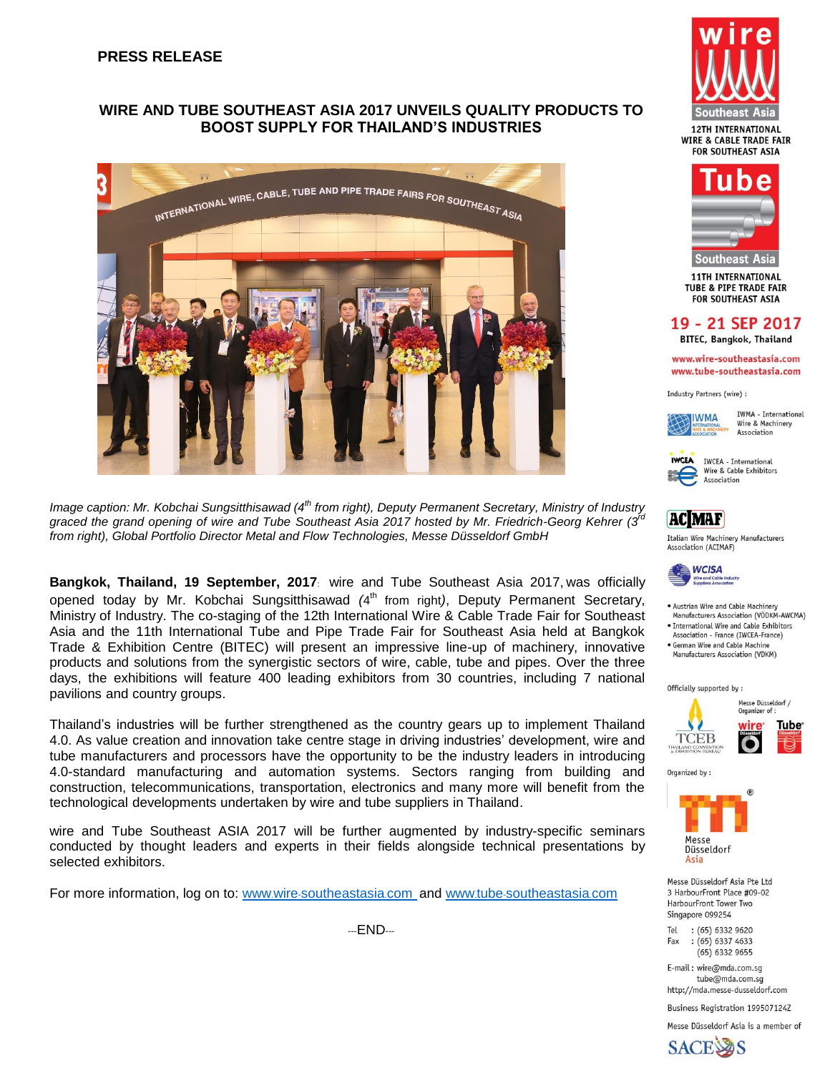### **PRESS RELEASE**

### **WIRE AND TUBE SOUTHEAST ASIA 2017 UNVEILS QUALITY PRODUCTS TO BOOST SUPPLY FOR THAILAND'S INDUSTRIES**



*Image caption: Mr. Kobchai Sungsitthisawad (4th from right), Deputy Permanent Secretary, Ministry of Industry*  graced the grand opening of wire and Tube Southeast Asia 2017 hosted by Mr. Friedrich-Georg Kehrer (3<sup>*rd*</sup> *from right), Global Portfolio Director Metal and Flow Technologies, Messe Düsseldorf GmbH*

**Bangkok, Thailand, 19 September, 2017**: wire and Tube Southeast Asia 2017, was officially opened today by Mr. Kobchai Sungsitthisawad *(*4 th from right*)*, Deputy Permanent Secretary, Ministry of Industry. The co-staging of the 12th International Wire & Cable Trade Fair for Southeast Asia and the 11th International Tube and Pipe Trade Fair for Southeast Asia held at Bangkok Trade & Exhibition Centre (BITEC) will present an impressive line-up of machinery, innovative products and solutions from the synergistic sectors of wire, cable, tube and pipes. Over the three days, the exhibitions will feature 400 leading exhibitors from 30 countries, including 7 national pavilions and country groups.

Thailand's industries will be further strengthened as the country gears up to implement Thailand 4.0. As value creation and innovation take centre stage in driving industries' development, wire and tube manufacturers and processors have the opportunity to be the industry leaders in introducing 4.0-standard manufacturing and automation systems. Sectors ranging from building and construction, telecommunications, transportation, electronics and many more will benefit from the technological developments undertaken by wire and tube suppliers in Thailand.

wire and Tube Southeast ASIA 2017 will be further augmented by industry-specific seminars conducted by thought leaders and experts in their fields alongside technical presentations by selected exhibitors.

For more information, log on to: www.wire-[southeastasia](http://www.wire-southeastasia.com/).com and www.tube-[southeastasia](http://www.tube-southeastasia.com/).com

---END---





**11TH INTERNATIONAL TUBE & PIPE TRADE FAIR FOR SOUTHEAST ASIA** 

# 19 - 21 SEP 2017

**BITEC, Bangkok, Thailand** 

www.wire-southeastasia.com www.tube-southeastasia.com

Industry Partners (wire) :



**TWMA** - International Wire & Machinery Association

**IWCEA** IWCEA - International Wire & Cable Exhibitors Association



Italian Wire Machinery Manufacturers Association (ACIMAF)



- . Austrian Wire and Cable Machinery Manufacturers Association (VÖDKM-AWCMA)
- · International Wire and Cable Exhibitors Association - France (IWCEA-France)
- · German Wire and Cable Machine Manufacturers Association (VDKM)

Officially supported by:



Organized by:



Messe Düsseldorf Asia Pte Ltd 3 HarbourFront Place #09-02 HarbourFront Tower Two Singapore 099254

 $:(65)$  6332 9620 Tel  $:(65) 6337 4633$ Fax  $(65)$  6332 9655

F-mail: wire@mda.com.so tube@mda.com.sq http://mda.messe-dusseldorf.com

Business Registration 199507124Z

Messe Düsseldorf Asia is a member of